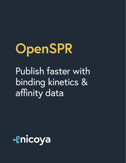# **OpenSPR** Publish faster with binding kinetics & affinity data

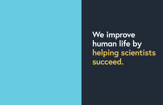**We improve human life by succeed.**

# **helping scientists**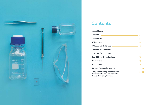

# **Contents**

| SPR Analysis Software <u>__________________________________</u> 11 |  |
|--------------------------------------------------------------------|--|
| OpenSPR for Academia 2008 2009 2012                                |  |
|                                                                    |  |
|                                                                    |  |
| Publications <del>2008 2012 2022 2022 2022 2022 2022 2022</del>    |  |
|                                                                    |  |
| Surface Plasmon Resonance ———————————————————— 22,23               |  |
| <b>DECISION AND LITTLE CONTINUES.</b>                              |  |

**Biosensors Using Commercially Relevant Binding Systems**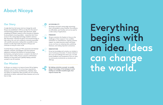# **About Nicoya**

**By helping scientists succeed, we enable deeper knowledge of the biological world, leading to scientific breakthroughs that improve human life.** 

# **Our Story**

A single idea from the human mind can change the world. Nicoya was established in 2015 as an idea from the mind of nanotechnology graduate student, Ryan Denomme. While completing his Masters' research at the University of Waterloo he encountered a recurring problem – researchers don't have access to the cutting-edge technology needed to advance their discoveries. It became his goal to use nanotechnology to help reduce the cost and complexity commonly associated with scientific instruments, making them accessible to every scientist. As CEO, Ryan leads the team at Nicoya and continues to bring his vision to life.

Currently Nicoya is made up of 100+ passionate and talented engineers, scientists, and designers who have extensive experience working at the forefront of nanotechnology, biochemistry, and optical sensors. Located in the heart of Canada's Silicon Valley, Nicoya is proud to call Kitchener-Waterloo its' home base and is globally helping scientists succeed in over 40 countries.

# **Our Mission**

At Nicoya, our mission is to improve human life by helping scientists succeed. Many of us have been impacted by diseases such as cancer and Alzheimer's. Globally, there are millions of researchers (like yourself!) who are working relentlessly to better understand these diseases and we are here to help.

**Everything begins with can change the world.** 

# **an idea. Ideas**

### **ACCESSIBILITY**

We design and build cutting-edge technology that is accessible to every scientist. Our products are affordable, user-friendly, and can be used for a wide variety of applications.

### **FREEDOM**

We give scientists the freedom to focus on the challenges of their research. From workflow automation to comprehensive, ongoing customer support, we make execution easier and faster so you can focus on analyzing data, publishing literature, and making important connections.

### **INNOVATION**

Driven by knowledge and curiosity, our mindset is one of continuous innovation. To remain ahead of the curve and challenge the status quo, we seek honest feedback and transparency from our users to continuously revolutionize our products and offerings.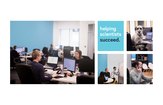

# **helping scientists succeed.**





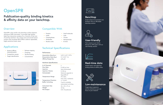

# **OpenSPR**

# **Publication-quality binding kinetics & affinity data on your benchtop.**

# **Overview**

- Kinetics/affinity characterization
- Competition assays
- Target identification
- Epitope mapping
- Screening
- Yes/No binding
- Concentration



OpenSPR is the world's only benchtop surface plasmon resonance (SPR) instrument. It provides high quality, label-free interaction analysis for a fraction of the cost of existing solutions. Our unique nano-structured sensor surface uses localized SPR (LSPR) to deliver repeatable, highly sensitive kinetic data.

# **Applications**

| # of Channels                | 2                             |
|------------------------------|-------------------------------|
| <b>Flow Rate</b>             | 5-200 µL/min                  |
| Injection                    | Semi-Automated                |
| <b>Injection Volume</b>      | 5–100 µL                      |
| Autosampler                  | Optional upgrade to           |
|                              | OpenSPR-XT                    |
| <b>Temperature Range</b>     | $4^{\circ}$ C-40 $^{\circ}$ C |
|                              | $(max 10^{\circ}C$ < ambient) |
| <b>Temperature Precision</b> | $+/- 0.25$ °C                 |
| <b>Buffer Switching</b>      | 3 ports available,            |
|                              | automated switching           |
| <b>Instrument Size</b>       | $46 \times 34 \times 21$ cm   |
| Weight                       | 42 lbs                        |
| <b>File Output</b>           | CSV, Tracedrawer              |



Train anyone in your lab to become an SPR expert with our user-friendly solution



- Proteins
- Lipids
- Carbohydrates
- Antibodies
- Nucleic acids

• Cells • Viruses

• Nanoparticles

• & more

# **Compatible With**

# **Technical Specifications**

• Small molecules

### **Performance**

Association Rate (k<sub>on</sub>) **Dissociation Rate (koff) Affinity Range (K<sub>D</sub>)** 

1x103–1x107 1/M\*s  $0.1 - 1 \times 10^{-5}$   $1/s$ mM–pM

### **Hardware Specifications**

# **Benchtop**

Avoid costly & inconvenient core facilities with our affordable benchtop solution



# **User-friendly**

# **Real-time data**

Publish faster with label-free binding kinetics & affinity data

 $\frac{1}{2}$ 

**Teleco** 



Forget about expensive service contracts so you can focus on your research

# **Low-maintenance**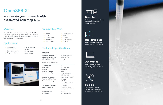

# **OpenSPR-XT**

# **Accelerate your research with automated benchtop SPR.**

# **Overview**

OpenSPR-XT is built with our cutting-edge and affordable nanotechnology biosensor platform. It has been seamlessly integrated with our robust autosampler system to allow for fully automated, 24/7 operation.

# **Applications**

- Association Rate (k<sub>on</sub>) **Dissociation Rate (koff) Affinity Range (K<sub>D</sub>)**
- 1x103–1x107 1/M\*s  $0.1 - 1 \times 10^{-5}$   $1/s$ mM–pM

• Small molecules

- Kinetics/affinity characterization
- Competition assays
- Target identification
- 
- Epitope mapping • Screening
- Yes/No binding
- Concentration



- Proteins
- Lipids
- Carbohydrates
- Antibodies
- Nucleic acids

• Cells • Viruses

• Nanoparticles

• & more

# **Compatible With**

### **Performance**

2 5–200 µL/min Automated 5–100 µL 2x 96 well plates, 2/10 mL vials Cooled from 20°C-4°C 24 hours 4°C-40°C (max 10°C <ambient) +/- 0.25°C 3 ports available, automated switching

78 x 55 x 53 cm CSV, Tracedrawer

**# of Channels Flow Rate Injection Injection Volume Sample Capacity**

**Sample Temperature Unattended Run Time Temperature Range**

**Temperature Precision Buffer Switching**

**Instrument Size File Output**

### **Hardware Specifications**

# **Benchtop**

Avoid costly & inconvenient core facilities with our affordable benchtop solution



Get publication-quality data with the highest level of consistency and repeatability

# **Reliable**

# **Real-time data**

Publish faster with label-free binding kinetics & affinity data



# **Automated**

Maximize your productivity with our premade workflows & user-friendly software



# **Technical Specifications**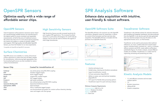# **OpenSPR Sensors**

Tired of expensive surface plasmon resonance sensor chips? Our nanotechnology enabled sensors are manufactured to the highest quality to ensure consistent and repeatable measurements, at half of the price of traditional sensors. We achieve less than 2% CV on all critical optical properties. Our sensors are stable in a variety of solvents, buffers and reagents. With high-quality and affordable OpenSPR Sensors, you have the freedom to run more experiments.

\*Compatible with OpenSPR and OpenSPR-XT instruments

# **Surface Chemistries**

OpenSPR sensors are available in a variety of functional surface chemistries to reduce the time and effort needed for immobilization, while ensuring high repeatability. Nonfunctionalized gold sensors are also available for custom surface functionalization.

# **High Sensitivity Sensors**

High Sensitivity Sensors provide increased sensitivity for your toughest SPR applications. The increased localized sensitivity is particularly advantageous for small molecule analysis, and can also be used to enhance the signals of other larger biomolecules.





Standard Sensor Chip High Sensitivity Sensor Chip

- Intuitive and easy-to-use
- Guided setup, cleaning and shutdown procedures
- Ligand immobilization wizards
- Full test automation (OpenSPR-XT)
- Ability to create, save and load test templates (OpenSPR-XT)
- CSV export for flexible data processing options
- TraceDrawer export for quick and easy analysis

### **Sensor Chip**

- **Carboxyl NTA Streptavidin Biotin GST Protein A Amine Liposome Binding (LIP) Hydrophobic (MEM) Thiol Gold**
- any amine group using EDC/NHS coupling histidine tagged targets biotin tagged targets streptavidin coupled targets GST tagged targets IgG based antibodies any carboxyl group using EDC/NHS coupling liposomes/membrane proteins lipid monolayer thiol or maleimide tagged targets non-functionalized and perfect for custom surface chemistry develop-
- ment and targets with thiol groups

### **Coated for immobilization of:**

# **OpenSPR Sensors**

- 1:1, with diffusion correction and two-state analysis options
- 1:2
- Bivalent interactions
- Affinity/EC50
- Kinetics competition

# **Optimize easily with a wide range of affordable sensor chips.**

# **SPR Analysis Software**

**Enhance data acquisition with intuitive, user-friendly & robust software.**

# **OpenSPR Software Suite**

The OpenSPR software is for exclusive use with OpenSPR instruments. Designed custom for researchers, it allows for control of the instrument and fast real-time data acquisition. The OpenSPR software is included with the purchase of an OpenSPR Starter Kit.



OpenSPR Software

# **Features**

### **Minimum Computer Requirements**

Communication: USB 2.0 or 3.0 Platform: Windows 10, 64-bit. Memory: 4 GB RAM CPU: Dual Core

# **TraceDrawer Software**

TraceDrawer is the ultimate solution for real-time interaction data handling and integrates seamlessly with data produced from the OpenSPR. It can also be used with data generated from any real-time analysis tool once the data is in the appropriate format (.txt or .csv file formats).

TraceDrawer can be used to post-process data (subtract references, cut, move, combine data from several experiments), evaluate kinetic constants ( $k_{on}$  and  $k_{off}$ ), evaluate affinity constants and EC50, create reports and produce publishable figures. For kinetic analysis, several different models are available. TraceDrawer is a useful tool for organizing, processing and presenting your data.



# **Kinetic Analysis Models**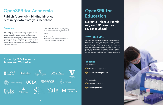

# **OpenSPR for Academia**

**Novartis, Pfizer & Merck rely on SPR. Keep your Overview students ahead.** The students are students and students are students and students are students and students and students and students and students and students and students are studies in the studies of the stu

**Publish faster with binding kinetics & affinity data from your benchtop.**

# **OpenSPR for Education**

With innovative nanotechnology, we have greatly reduced the cost of having access to crucial binding kinetics data and SPR technology. Having OpenSPR in your own lab eliminates the expensive costs and inconvenient travelling associated with using a shared instrument in a core facility. OpenSPR has helped researchers publish in high-impact journals and is currently being used by over 600 innovative researchers worldwide.

"OpenSPR offers the perfect combination of performance and affordability, which will accelerate our research while saving our lab money."

**Dr. Thorsten Dieckmann** Associate Professor & Associate Chair of Chemistry, University of Waterloo

# **Why Teach SPR?**

SPR is the gold standard technique for measuring binding kinetics in both industry and academia. From discovering new drugs to gaining a better understanding of diseases, SPR is used by thousands of biotechnology companies and every pharmaceutical company in the world. Students who graduate with experience using cutting-edge techniques like SPR will be best prepared to start their career in industry or continue to do research in the academic world.

# **Trusted by 600+ Innovative Researchers Worldwide**



**Benefits**

For Students

### For Instructors

- **Hands-on Experience**
- **Increase Employability**

**Low-maintenance**

**Predesigned Labs**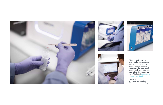











"The team at Nicoya has been very helpful, promptly answering any questions, helping me analyze data, troubleshooting issues, and helping me learn the ins and outs of how the instruments work. The initial training was very fast and simple."

**Ember Tota** Chemistry Graduate Student, University of California San Diego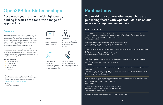# **Overview**

SPR is a highly valued technique used in the biotechnology industry for drug screening, drug production, lead optimization, quality control, and much more. Our unique nano-structured sensor surface allows you to obtain highquality binding kinetics and affinity data for a wide variety of applications. With OpenSPR's ease-of-use, you can get started on your experiments in a matter of hours.

Due to it's versatile applicability, the OpenSPR can be found in companies of all sizes. In smaller companies, the OpenSPR allows researchers to finish off their full experimental workflows at a low cost. In larger companies, the OpenSPR is easily integrated alongside their other assays.

### **OpenSPR is ideal for:**

- Lead optimization
- Quality control
- Drug discovery
- Validation
- Feasibility

# **OpenSPR for Biotechnology**

# **Accelerate your research with high-quality binding kinetics data for a wide range of applications.**

"We spent many hours trying to run our proteinprotein interaction on the Biacore with no success. After running the same experiment on the OpenSPR, we immediately got the data we needed."

**Dr. Ning** CEO, Kyinno Biotechnology

# **Publications**

**The world's most innovative researchers are publishing faster with OpenSPR. Join us on our mission to improve human lives.** 



**Benchtop** Save valuable lab space with our affordable benchtop solution



**User-Friendly**

Train anyone in your lab to become an SPR expert with our user-friendly

solution.

**Real-Time Data**

Shorten your experimental timelines with real-time binding kinetics and affinity data

**Low-Maintenance** Minimize downtime on your experiments and save on operational costs

### **PUBLICATION LIST**

Luteolin Inhibits Musashi1 binding to RNA and disrupts cancer phenotypes in glioblastoma cells. Gupta, Y. K., Hart, M. J., Hernandez, G., Hubert, C. G., Ivanov, D. N., Kaundal, S., Li, G., Penalva, L. O. F., Qiao, M., Velasco, M. X., Villarreal, J., Wang, Z., and Yi, C. RNA Biology. (Nov 2018)

A truncated RHAMM protein for discovering novel therapeutic peptides Hauser-Kawaguchi, A., Luyt, L., Milne, M., Peart, T., Tolg, C., and Turley, E. Bioorganic & Medicinal Chemistry. (Oct 2018)

Ligand size and conformation affect the behavior of nanoparticles coated with in vitro and in vivo protein corona.

Gao, H., He, Q., Ruan, S., Yu, W., Wu, T., and Zhang, H. ACS Applied Materials & Interfaces. (Feb 2018)

PDGFRß-specific affibody-directed delivery of a photosensitizer, IR700, is efficient for vascular-targeted photodynamic therapy of colorectal cancer. Fan, Q., Lu, X., Shi, Q., Tao, Z., Wan, L., Wei, D., Yang, H. Drug Delivery. (Nov 2017)

Docosahexaenoic acid lowers cardiac mitochondrial enzyme activity by replacing linoleic acid in the phospholipidome.

Sullivan, E. M., Pennington, E. R., Sparagna, G. C., Torres, M. J., Neufer, P. D., Harris, M., Anderson, E. J., Tonya N. Zeczycki, T. N., Brown, D. A., Shaikh, S. R. Journal of Biological Chemistry. (Nov 2017)

Targeted Delivery to Tumor-associated Pericytes via an Affibody with High Affinity for PDGFRß Enhances the in vivo Antitumor Effects of Human TRAIL. Tao, Z., Yang, H., Shi, Q., Fan, Q., Wan, L. and Lu, X. Theranostics (Jun 2017)

Receptor-Based Peptides for Inhibition of Leukotoxin Activity. Krueger, E., Hayes, S., Chang, E. H., Yutuc, S., and Brown, A. C. American Chemical Society. (Feb 2017)

*\*For a full list of OpenSPR publications, visit nicoyalife.com/publications*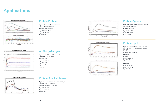# **Protein-Protein**

**Ligand:** Biotinylated protein immonbilized onto a Streptavidin Sensor

**Analyte:** Mutant protein

 $k_{on} = 0.35x10^6$  M-1s-1  $k_{off}$  = 2.0x10<sup>-3</sup> s<sup>-1</sup>  $K_D = 5.7$  nM







# **Antibody-Antigen**

**Ligand:** Anti-PSA immobilized onto Gold Sensor with custom chemistry

**Analyte:** PSA

 $k_{on}$  = 4.0x10<sup>4</sup> M<sup>-1</sup>s<sup>-1</sup>  $k_{off}$  = 1.8x10<sup>-6</sup> s<sup>-1</sup>  $K_D = 4.5$  nM

CV=3.2%

# **Applications**

# **Protein-Small Molecule**

**Liposome 1**  $k_{on}$  = 810 M<sup>-1</sup>s<sup>-1</sup>

 $k_{off}$  = 5.53x10-4 s<sup>-1</sup> K<sub>D</sub> = 682 nM

**Ligand:** CAII protein immobilized onto a High Sensitivity Carboxyl Sensor

**Analyte:** Furosemide. (330 Da)

 $k_{on}$  = 1.7x10<sup>4</sup> M<sup>-1</sup> s<sup>-1</sup>  $k_{off}$  = 4.4x10<sup>-2</sup> s<sup>-1</sup><br> $K_D$  = 2.5 µM





# **Protein-Lipid**

**Ligand:** Liposomes formed with 2 different phospholipids, immobilized onto Liposome (LIP-1) Sensors

**Analyte:** Proprietary protein



### **Liposome 2**

 $k_{on}$  = 1100 M<sup>-1</sup>s<sup>-1</sup>  $k_{off}$  = 9.24x10<sup>-4</sup> s<sup>-1</sup> K<sub>D</sub> = 841 nM

# **Protein-Aptamer**

**Ligand:** Aptamer (biotinylated) immobilized onto Streptavidin Sensor

**Analyte :** Lysozyme

 $k_{on}$  = 1.8x10<sup>5</sup> M<sup>-1</sup>s<sup>-1</sup>  $k_{off}$  = 2.6x10<sup>-3</sup> s<sup>-1</sup> K<sub>D</sub> = 14.6 nM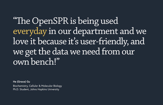"The OpenSPR is being used everyday in our department and we love it because it's user-friendly, and we get the data we need from our own bench!"

**He (Grace) Gu** Biochemistry, Cellular & Molecular Biology Ph.D. Student, Johns Hopkins University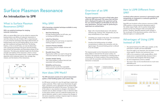- **Real-Time Monitoring** Provides binding kinetics (on/off rates, yes/ no binding and affinity values) **1.**
- **Label-Free Detection** Avoid spending time and money on expensive labeling reagents and protocols **2.**
- **Conserve Precious Samples** Save money using low sample volumes and concentrations **3.**
- **Reusable Sensor Chips** Regeneration buffers are used to disrupt the interaction between the analyte and ligand **4.**
- **Complex Sample Testing** Test crude samples to reduce time and cost associated with purification **5.**
- **Reliability and Accuracy** Obtain accurate results from repeatable measurements associated with purification **6.**
- Begin with a functionalized sensor with selected chemistry (eg. Carboxyl, NTA, Streptavidin, etc.) for easy immobilization of your target. **1.**
- Immobilize your target to the sensor. The immobilized target will be referred to as the *ligand.* **2.**
- Introduce the binding partner at multiple concentrations to observe the interaction with the ligand target. The second binding partner is referred to as the *analyte.* **3.**

The response graph can be interpreted as biomolecules being added or removed from the sensor surface. An increase in the response corresponds to a binding event of a biomolecule. For kinetic analysis of the analyte binding curves, both the association and dissociation of the kinetic interaction is measured.

# **What is Surface Plasmon Resonance (SPR)?**

### **SPR is an analytical technique for studying molecular interactions.**

SPR is an optical effect that can be utilized to measure the binding kinetics and affinity of molecular interactions in real-time without the use of labels. SPR is unique because it is one of the few techniques that allows determination of binding kinetics and not just binding affinity, as you would get from traditional techniques like ELISA. The binding kinetics, or the on and off rates, can only be determined with a biosensing technique that gives real-time binding data of both the association and dissociation phases of the interaction. This data gives detailed insight into the binding strength and stability of the interaction, which is critical for many industries and research areas. It helps researchers determine which molecules interact, how strongly they interact, and the kinetics of the interactions.



- The optical hardware for LSPR is less complex, so the instrument is smaller and more affordable
- Since the angle is not important, the instrument is more robust against vibration and mechanical noise
- LSPR is not as sensitive to bulk sample effects, which causes errors in experimental data, because it has a much shorter electromagnetic field decay length
- No strict temperature control is needed
- The sensor chips can be manufactured at a much more affordable price
- Instruments are easier to use and maintain

# **Why SPR?**

**SPR is becoming a standard technique available in every single biochemistry lab**.

# **Overview of an SPR Experiment**

**The entire experiment from start to finish takes place within the SPR instrument! This means that real-time data is displayed throughout the experiment, giving the user instant feedback and flexibility for fast and easy optimization. The basic steps for performing an experiment are outlined below:**

# **How is LSPR Different from SPR?**

**Localized surface plasmon resonance is generated by gold nanoparticles as compared to a continuous gold film as used in traditional SPR.**

OpenSPR uses localized surface plasmon resonance (LSPR). LSPR produces a strong resonance absorbance peak in the visible range of light, with it's position being highly sensitive to the local refractive index surrounding the particle. Therefore, OpenSPR measures small changes in the wavelength of the absorbance position, rather than a reflected angle as in traditional SPR.

# **Advantages of Using LSPR Instead of SPR**



# **How does SPR Work?**

**The SPR instrument consists of an optical measurement system, a fluid handling system, and a sensor chip.**

An SPR sensor consists of a very thin gold layer coated onto a glass substrate. When a light source illuminates the gold layer, a plasmonic wave is generated with an electric field extending above the surface of the sensor. This electric field of the sensor is very sensitive to changes in the dielectric constant and can detect changes in mass or refractive index on the sensor surface, such as a molecular binding event. An optical detection system is used to measure the changes of the sensor properties, creating a response signal to measure molecular interactions in real-time.



# **Surface Plasmon Resonance**

# **An Introduction to SPR**

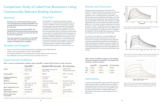# **Experimental Conditions**

**Table 1. Summary of experimental conditions used on OpenSPR™, standard SPR instrument, and BLI instrument.**

*\*for kinetic analysis from BLI data, 31.25 nM and 1000 nM concentrations were omitted from the fitting.*

## **Summary**

- **Binding Kinetics of biotinylated CD16a and IgG were characterized by comparing OpenSPR™ with a standard SPR instrument and a commonly-used BLI instrument.**
- **<sup>K</sup>D values measured using the OpenSPR™, the standard SPR instrument and the commonly-used BLI instrument were found to be 74.7 nM, 48.7 nM and 226 nM, respectively.**
- **This study supports the equivalency of OpenSPR™ with with other commercial instruments for the analysis of binding kinetics and affinity.**

**Overview**

The OpenSPR™ is a powerful instrument providing researchers with in-depth label-free binding kinetics for a variety of different molecular interactions. A side by side comparison study was performed with OpenSPR™, a standard SPR instrument, and a commonly-used BLI instrument to demonstrate that OpenSPR™ can provide the same high-quality data as commonly-used instruments on the market. The standard SPR and BLI instruments are used for analyzing binding kinetics, but cost hundreds of thousands of dollars, making them inaccessible to many researchers who need this data. An Fc-FcR interaction was analyzed using the three instruments under similar conditions to show that the OpenSPR™ can generate comparable results to both the standard SPR and commonly-used BLI systems for a fraction of the cost.

# **Comparison Study of Label-Free Biosensors Using Commercially Relevant Binding Systems**

# **Results and Discussion**

Results from the Fc-FcR interaction measured on the OpenSPR™, standard SPR and BLI instruments can be found in Figures 1, 2 and 3, respectively. Data was fit in each experiment with a 1:1 binding model. The OpenSPR™, and the two other instruments determined KD values of 74.0 nM, 48.7 nM and 226 nM, respectively. The calculated KD values between OpenSPR™ and the other SPR instrument are highlycomparable, while the value reported by the BLI instrument differs by ~5X. The kinetic constants determined from the fits are shown in Table 1. The off-rates are similar across all three instruments, however, the BLI-derived on-rates differs by over an order of magnitude. The quality of the fits is comparable for OpenSPR™ and the standard SPR instrument, but there is more deviation from the model seen in the BLI data.

It is common to see variations in measured affinity and kinetic values even when running assays on the same instrument. The closeness of the values between both SPR instrument experiments demonstrate the comparability of these instruments for biomolecular interaction analysis. The relatively large difference seen in the BLI data could be due to the higher immobilization level used, fitting differences, or fundamental differences in the dip and read technique used with BLI.

# **Conclusions**

In summary, both OpenSPR™ and the other SPR instrument reported similar kinetics and affinity values, but differed more significantly from the BLI system for the interaction studied. The results support the use of OpenSPR™ as the best affordable alternative to traditional SPR and BLI instruments in generating accurate binding kinetics and affinity data.

|                                    | OpenSPR™                               | <b>Standard SPR Instrument BLI Instrument</b> |                                                 |
|------------------------------------|----------------------------------------|-----------------------------------------------|-------------------------------------------------|
| Sensor                             | Streptavidin<br>Sensor Chip            | High-affinity Streptavidin<br>Sensor Chip     | <b>High Precision</b><br>Streptavidin Biosensor |
| <b>Running Buffer</b>              | HBS-EP                                 | HBS-EP                                        | PBS-T + 0.1% BSA                                |
| CD16a Immobilization<br>conditions | $4.5 \mu g/mL$ at<br>$5 \mu L/min$     | 30 ng/mL at<br>$5 \mu L/min$                  | $5 \mu g/mL$                                    |
| <b>Blocking</b>                    | N/A                                    | 10 µg/mL biocytin                             | 50 µg/mL biocytin                               |
| IgG Fc concentrations              | 31.25, 62.5, 125, 250,<br>500, 1000 nM | 31.25, 62.5, 125, 250, 500,<br>1000 nM        | 31.25, 62.5, 125, 250,<br>500, 1000 nM*         |
| IgG Fc analysis flow rate          | $30 \mu L/min$                         | $30 \mu L/min$                                | N/A                                             |
| Regeneration                       | Running buffer                         | Running buffer                                | Running buffer                                  |
| Data analysis software             | <b>TraceDrawer</b>                     | Built-in software                             | Built-in software                               |
| Kinetic model used<br>for analysis | 1:1                                    | 1:1                                           | 1:1                                             |

|             | OpenSPR™  | <b>Standard SPR</b> | <b>BLI Instrument</b> |
|-------------|-----------|---------------------|-----------------------|
| $k_{on}$    | 5.57e4    | 1.42e5              | 2.68e4                |
| $k_{off}$   | $4.16e-3$ | $6.89e-3$           | $6.08e-3$             |
| $k_{\rm D}$ | 7.47e-8   | $4.87e-8$           | $2.26e-7$             |

# **Samples and Reagents**

- Ligand: Human CD-16a (FcγRIIIa) (biotinylated), SinoBiological, Cat# 10389-H27H1-B
- Analyte: Human IgG FC fragment, Abcam, Cat# Ab90285
- Running Buffer (OpenSPR™ and standard SPR instrument): HBS-EP (0.005% Tween-20)
- Assay Buffer (BLI instrument): PBS (0.01% BSA and 0.002% Tween-20)



*Figure 1: CD16a-Fc interaction analyzed using the OpenSPR™ with analyte concentrations of 31.25, 62.5, 125, 250, 500 and 1000 nM.*



*Figure 2: CD16a-Fc interaction analyzed using the standard SPR instrument with analyte concentrations of 31.25, 62.5, 125, 250, 500 and 1000 nM.*



*Figure 3: CD16a-Fc interaction analyzed using the BLI instrument with analyte concentrations of 31.25, 62.5, 125, 250, 500 nM and 1000 nM. Green lines represent measured curves and red lines represent 1:1 fits.*

**Table 2. Kinetic and affinity constants of the CD16a-Fc interaction measured on OpenSPR™, the standard SPR instrument, and BLI instrument.**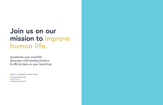# **Join us on our mission to improve human life.**

Accelerate your scientific discovery with binding kinetics & affinity data on your benchtop.

Speak to an Application Scientist Today: INFO@NICOYALIFE.COM 1-877-673-6777 WWW.NICOYALIFE.COM